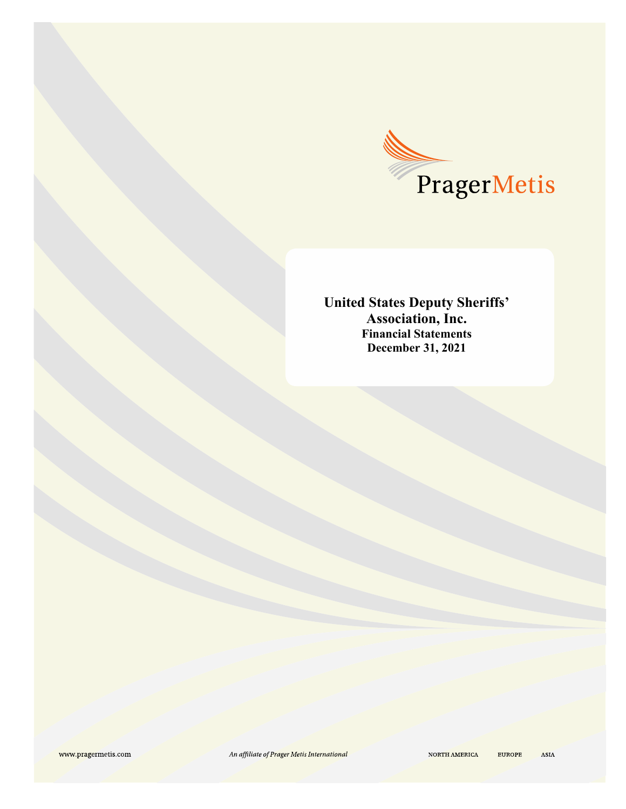

**United States Deputy Sheriffs' Association, Inc. Financial Statements December 31, 2021**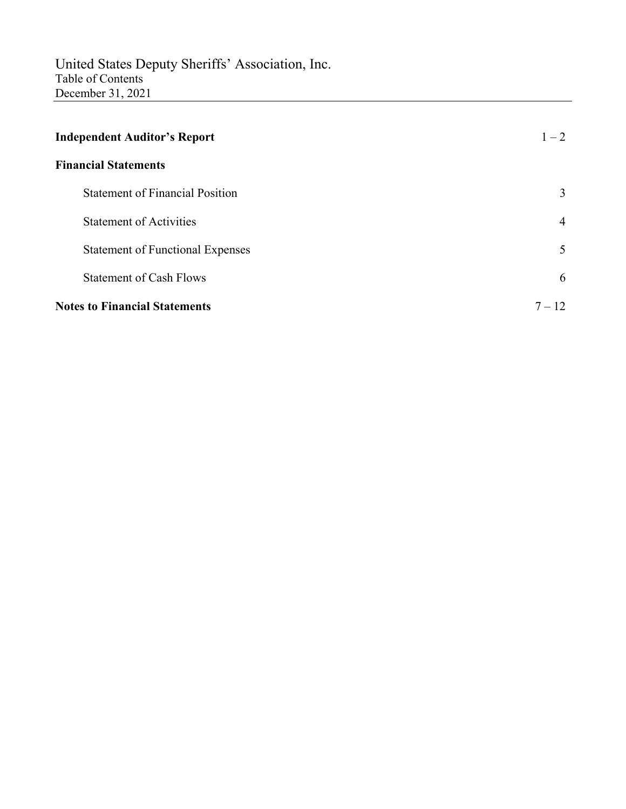| <b>Independent Auditor's Report</b>     | $1 - 2$        |
|-----------------------------------------|----------------|
| <b>Financial Statements</b>             |                |
| <b>Statement of Financial Position</b>  | 3              |
| <b>Statement of Activities</b>          | $\overline{4}$ |
| <b>Statement of Functional Expenses</b> | 5              |
| <b>Statement of Cash Flows</b>          | 6              |
| <b>Notes to Financial Statements</b>    | $7 - 12$       |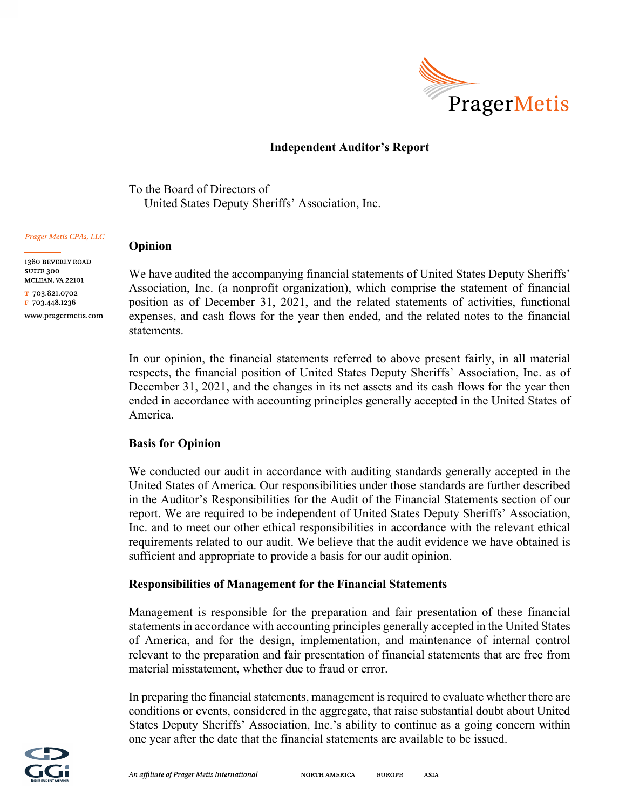

# **Independent Auditor's Report**

To the Board of Directors of United States Deputy Sheriffs' Association, Inc.

#### Prager Metis CPAs, LLC

1360 BEVERLY ROAD SUITE 300 MCLEAN, VA 22101

T 703.821.0702 F 703.448.1236 www.pragermetis.com We have audited the accompanying financial statements of United States Deputy Sheriffs' Association, Inc. (a nonprofit organization), which comprise the statement of financial position as of December 31, 2021, and the related statements of activities, functional expenses, and cash flows for the year then ended, and the related notes to the financial statements.

In our opinion, the financial statements referred to above present fairly, in all material respects, the financial position of United States Deputy Sheriffs' Association, Inc. as of December 31, 2021, and the changes in its net assets and its cash flows for the year then ended in accordance with accounting principles generally accepted in the United States of America.

#### **Basis for Opinion**

**Opinion** 

We conducted our audit in accordance with auditing standards generally accepted in the United States of America. Our responsibilities under those standards are further described in the Auditor's Responsibilities for the Audit of the Financial Statements section of our report. We are required to be independent of United States Deputy Sheriffs' Association, Inc. and to meet our other ethical responsibilities in accordance with the relevant ethical requirements related to our audit. We believe that the audit evidence we have obtained is sufficient and appropriate to provide a basis for our audit opinion.

#### **Responsibilities of Management for the Financial Statements**

Management is responsible for the preparation and fair presentation of these financial statements in accordance with accounting principles generally accepted in the United States of America, and for the design, implementation, and maintenance of internal control relevant to the preparation and fair presentation of financial statements that are free from material misstatement, whether due to fraud or error.

In preparing the financial statements, management is required to evaluate whether there are conditions or events, considered in the aggregate, that raise substantial doubt about United States Deputy Sheriffs' Association, Inc.'s ability to continue as a going concern within one year after the date that the financial statements are available to be issued.

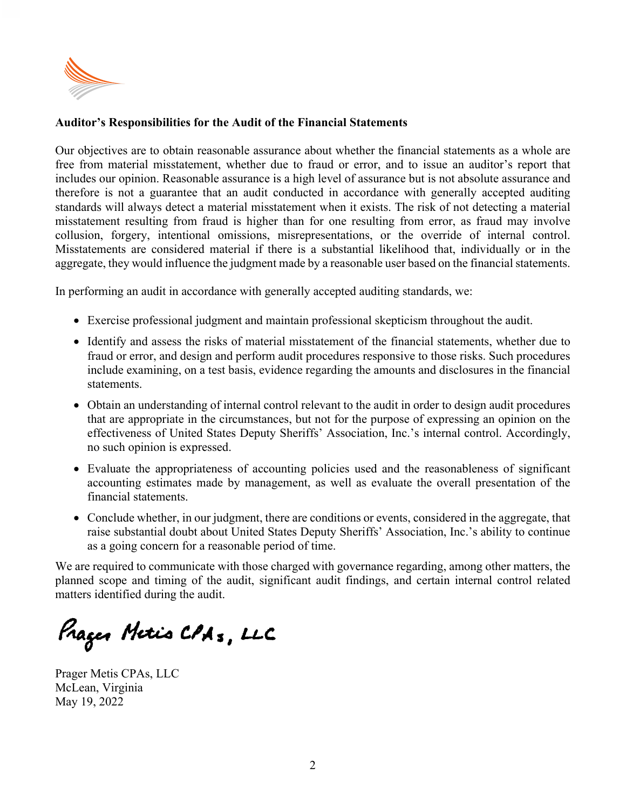

# **Auditor's Responsibilities for the Audit of the Financial Statements**

Our objectives are to obtain reasonable assurance about whether the financial statements as a whole are free from material misstatement, whether due to fraud or error, and to issue an auditor's report that includes our opinion. Reasonable assurance is a high level of assurance but is not absolute assurance and therefore is not a guarantee that an audit conducted in accordance with generally accepted auditing standards will always detect a material misstatement when it exists. The risk of not detecting a material misstatement resulting from fraud is higher than for one resulting from error, as fraud may involve collusion, forgery, intentional omissions, misrepresentations, or the override of internal control. Misstatements are considered material if there is a substantial likelihood that, individually or in the aggregate, they would influence the judgment made by a reasonable user based on the financial statements.

In performing an audit in accordance with generally accepted auditing standards, we:

- Exercise professional judgment and maintain professional skepticism throughout the audit.
- Identify and assess the risks of material misstatement of the financial statements, whether due to fraud or error, and design and perform audit procedures responsive to those risks. Such procedures include examining, on a test basis, evidence regarding the amounts and disclosures in the financial statements.
- Obtain an understanding of internal control relevant to the audit in order to design audit procedures that are appropriate in the circumstances, but not for the purpose of expressing an opinion on the effectiveness of United States Deputy Sheriffs' Association, Inc.'s internal control. Accordingly, no such opinion is expressed.
- Evaluate the appropriateness of accounting policies used and the reasonableness of significant accounting estimates made by management, as well as evaluate the overall presentation of the financial statements.
- Conclude whether, in our judgment, there are conditions or events, considered in the aggregate, that raise substantial doubt about United States Deputy Sheriffs' Association, Inc.'s ability to continue as a going concern for a reasonable period of time.

We are required to communicate with those charged with governance regarding, among other matters, the planned scope and timing of the audit, significant audit findings, and certain internal control related matters identified during the audit.

Prageo Metis CPAs, LLC

Prager Metis CPAs, LLC McLean, Virginia May 19, 2022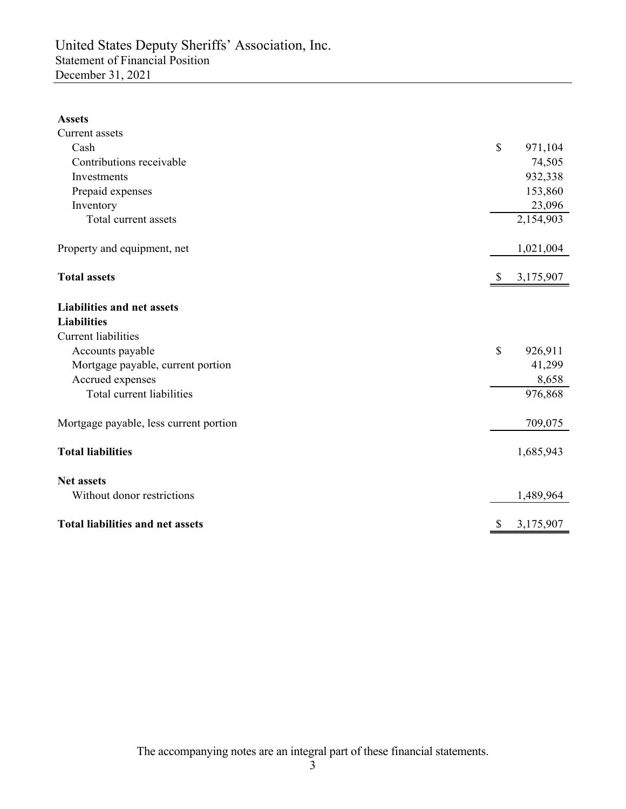### **Assets**

| Current assets                          |              |           |
|-----------------------------------------|--------------|-----------|
| Cash                                    | $\mathbb{S}$ | 971,104   |
| Contributions receivable                |              | 74,505    |
| Investments                             |              | 932,338   |
| Prepaid expenses                        |              | 153,860   |
| Inventory                               |              | 23,096    |
| Total current assets                    |              | 2,154,903 |
| Property and equipment, net             |              | 1,021,004 |
| <b>Total assets</b>                     |              | 3,175,907 |
| <b>Liabilities and net assets</b>       |              |           |
| <b>Liabilities</b>                      |              |           |
| <b>Current liabilities</b>              |              |           |
| Accounts payable                        | \$           | 926,911   |
| Mortgage payable, current portion       |              | 41,299    |
| Accrued expenses                        |              | 8,658     |
| Total current liabilities               |              | 976,868   |
| Mortgage payable, less current portion  |              | 709,075   |
| <b>Total liabilities</b>                |              | 1,685,943 |
| <b>Net assets</b>                       |              |           |
| Without donor restrictions              |              | 1,489,964 |
| <b>Total liabilities and net assets</b> |              | 3,175,907 |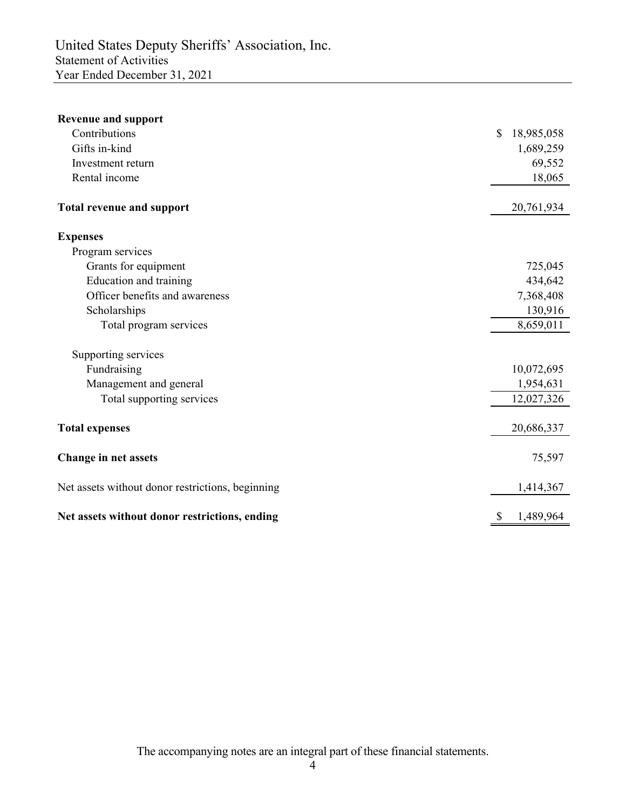| <b>Revenue and support</b>                       |              |            |
|--------------------------------------------------|--------------|------------|
| Contributions                                    | \$           | 18,985,058 |
| Gifts in-kind                                    |              | 1,689,259  |
| Investment return                                |              | 69,552     |
| Rental income                                    |              | 18,065     |
| <b>Total revenue and support</b>                 |              | 20,761,934 |
| <b>Expenses</b>                                  |              |            |
| Program services                                 |              |            |
| Grants for equipment                             |              | 725,045    |
| Education and training                           |              | 434,642    |
| Officer benefits and awareness                   |              | 7,368,408  |
| Scholarships                                     |              | 130,916    |
| Total program services                           |              | 8,659,011  |
| Supporting services                              |              |            |
| Fundraising                                      |              | 10,072,695 |
| Management and general                           |              | 1,954,631  |
| Total supporting services                        |              | 12,027,326 |
| <b>Total expenses</b>                            |              | 20,686,337 |
| <b>Change in net assets</b>                      |              | 75,597     |
| Net assets without donor restrictions, beginning |              | 1,414,367  |
| Net assets without donor restrictions, ending    | $\mathbb{S}$ | 1,489,964  |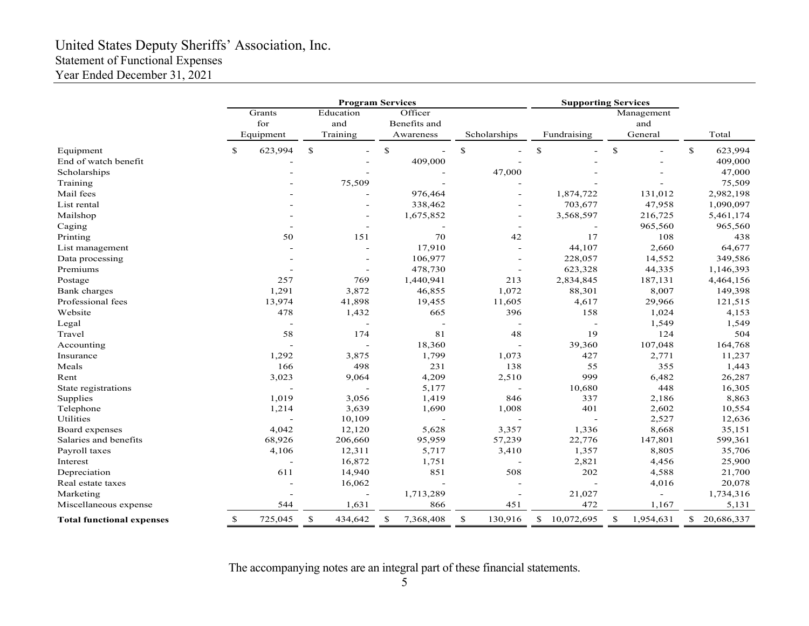# United States Deputy Sheriffs' Association, Inc. Statement of Functional Expenses Year Ended December 31, 2021

|                                  |              |                            | <b>Program Services</b>      |         |                                      |                |                                                                       | <b>Supporting Services</b> |              |                |                              |           |              |            |  |        |  |       |
|----------------------------------|--------------|----------------------------|------------------------------|---------|--------------------------------------|----------------|-----------------------------------------------------------------------|----------------------------|--------------|----------------|------------------------------|-----------|--------------|------------|--|--------|--|-------|
|                                  |              | Grants<br>for<br>Equipment | Education<br>and<br>Training |         | Officer<br>Benefits and<br>Awareness |                | Scholarships                                                          |                            | Fundraising  |                | Management<br>and<br>General |           |              | Total      |  |        |  |       |
|                                  |              |                            |                              |         |                                      |                |                                                                       |                            |              |                |                              |           |              |            |  |        |  |       |
| Equipment                        | $\mathbb{S}$ | 623,994                    | $\mathbb{S}$                 | L,      | \$                                   | $\overline{a}$ | $\mathbb{S}% _{t}\left( t\right) \equiv\mathbb{S}_{t}\left( t\right)$ |                            | $\mathbb{S}$ |                | ${\mathbb S}$                |           | $\mathbb{S}$ | 623,994    |  |        |  |       |
| End of watch benefit             |              |                            |                              |         |                                      | 409,000        |                                                                       |                            |              |                |                              |           |              | 409,000    |  |        |  |       |
| Scholarships                     |              |                            |                              |         |                                      |                | 47,000                                                                |                            |              |                |                              |           |              | 47,000     |  |        |  |       |
| Training                         |              |                            |                              | 75,509  |                                      |                |                                                                       |                            |              |                |                              |           |              | 75,509     |  |        |  |       |
| Mail fees                        |              |                            |                              |         |                                      | 976,464        |                                                                       |                            |              | 1,874,722      |                              | 131,012   |              | 2,982,198  |  |        |  |       |
| List rental                      |              |                            |                              |         | 338,462                              |                |                                                                       |                            |              | 703,677        |                              | 47,958    |              | 1,090,097  |  |        |  |       |
| Mailshop                         |              |                            |                              |         |                                      | 1,675,852      |                                                                       |                            |              | 3,568,597      |                              | 216,725   |              | 5,461,174  |  |        |  |       |
| Caging                           |              |                            |                              |         |                                      |                |                                                                       |                            |              |                |                              | 965,560   |              | 965,560    |  |        |  |       |
| Printing                         |              | 50                         |                              | 151     |                                      | 70             |                                                                       | 42                         |              | 17             |                              | 108       |              | 438        |  |        |  |       |
| List management                  |              |                            |                              |         |                                      | 17,910         |                                                                       |                            |              | 44,107         |                              | 2,660     |              | 64,677     |  |        |  |       |
| Data processing                  |              |                            |                              |         |                                      | 106,977        |                                                                       |                            |              | 228,057        |                              | 14,552    |              | 349,586    |  |        |  |       |
| Premiums                         |              |                            |                              |         |                                      | 478,730        |                                                                       |                            |              | 623,328        |                              | 44,335    |              | 1,146,393  |  |        |  |       |
| Postage                          |              | 257                        |                              | 769     |                                      | 1,440,941      |                                                                       | 213                        |              | 2,834,845      |                              | 187,131   |              | 4,464,156  |  |        |  |       |
| Bank charges                     |              | 1,291                      |                              | 3,872   |                                      | 46,855         |                                                                       | 1,072                      |              | 88,301         |                              | 8,007     |              | 149,398    |  |        |  |       |
| Professional fees                |              | 13,974                     |                              | 41,898  |                                      | 19,455         |                                                                       | 11,605                     |              | 4,617          |                              | 29,966    |              | 121,515    |  |        |  |       |
| Website                          |              | 478                        |                              |         | 1,432                                |                |                                                                       |                            |              | 665            |                              | 396       |              | 158        |  | 1,024  |  | 4,153 |
| Legal                            |              |                            | $\overline{a}$               |         |                                      |                |                                                                       |                            |              |                |                              |           |              | 1,549      |  | 1,549  |  |       |
| Travel                           | 58           |                            |                              | 174     |                                      | 81             |                                                                       | 48                         |              | 19             |                              | 124       |              | 504        |  |        |  |       |
| Accounting                       |              |                            |                              |         |                                      | 18,360         |                                                                       |                            |              | 39,360         |                              | 107,048   |              | 164,768    |  |        |  |       |
| Insurance                        |              | 1,292                      |                              | 3,875   |                                      | 1,799          |                                                                       | 1,073                      |              | 427            |                              | 2,771     |              | 11,237     |  |        |  |       |
| Meals                            |              | 166                        |                              | 498     |                                      | 231            |                                                                       | 138                        |              | 55             |                              | 355       |              | 1,443      |  |        |  |       |
| Rent                             |              | 3,023                      |                              | 9,064   |                                      | 4,209          |                                                                       | 2,510                      |              | 999            |                              | 6,482     |              | 26,287     |  |        |  |       |
| State registrations              |              |                            |                              |         |                                      | 5,177          |                                                                       |                            |              | 10,680         |                              | 448       |              | 16,305     |  |        |  |       |
| Supplies                         | 1,019        |                            |                              | 3,056   |                                      | 1,419          |                                                                       | 846                        |              | 337            |                              | 2,186     |              | 8,863      |  |        |  |       |
| Telephone                        | 1,214        |                            |                              | 3,639   |                                      | 1,690          |                                                                       | 1,008                      |              | 401            |                              | 2,602     |              | 10,554     |  |        |  |       |
| Utilities                        |              |                            |                              | 10,109  |                                      | $\sim$         |                                                                       | $\overline{\phantom{a}}$   |              | $\overline{a}$ |                              | 2,527     |              | 12,636     |  |        |  |       |
| Board expenses                   |              | 4,042                      |                              | 12,120  |                                      | 5,628          |                                                                       | 3,357                      |              | 1,336          |                              | 8,668     |              | 35,151     |  |        |  |       |
| Salaries and benefits            | 68,926       |                            |                              | 206,660 |                                      | 95,959         |                                                                       | 57,239                     |              | 22,776         |                              | 147,801   |              | 599,361    |  |        |  |       |
| Payroll taxes                    | 4,106        |                            | 12,311                       |         |                                      | 5,717          |                                                                       | 3,410                      |              | 1,357          |                              | 8,805     |              | 35,706     |  |        |  |       |
| Interest                         |              |                            |                              |         | 16,872                               |                |                                                                       | 1,751                      |              |                |                              | 2,821     |              | 4,456      |  | 25,900 |  |       |
| Depreciation                     |              | 611                        | 14,940                       |         |                                      | 851            | 508                                                                   |                            | 202          |                | 4,588                        |           |              | 21,700     |  |        |  |       |
| Real estate taxes                |              |                            | 16,062                       |         |                                      |                |                                                                       |                            |              |                |                              | 4,016     |              | 20,078     |  |        |  |       |
| Marketing                        |              |                            |                              |         |                                      | 1,713,289      |                                                                       |                            |              | 21,027         |                              |           |              | 1,734,316  |  |        |  |       |
| Miscellaneous expense            |              | 544                        |                              | 1,631   |                                      | 866            |                                                                       | 451                        |              | 472            |                              | 1,167     |              | 5,131      |  |        |  |       |
| <b>Total functional expenses</b> | \$           | 725,045                    | \$                           | 434,642 | \$                                   | 7,368,408      | \$                                                                    | 130,916                    |              | \$10,072,695   | <sup>\$</sup>                | 1,954,631 | \$           | 20,686,337 |  |        |  |       |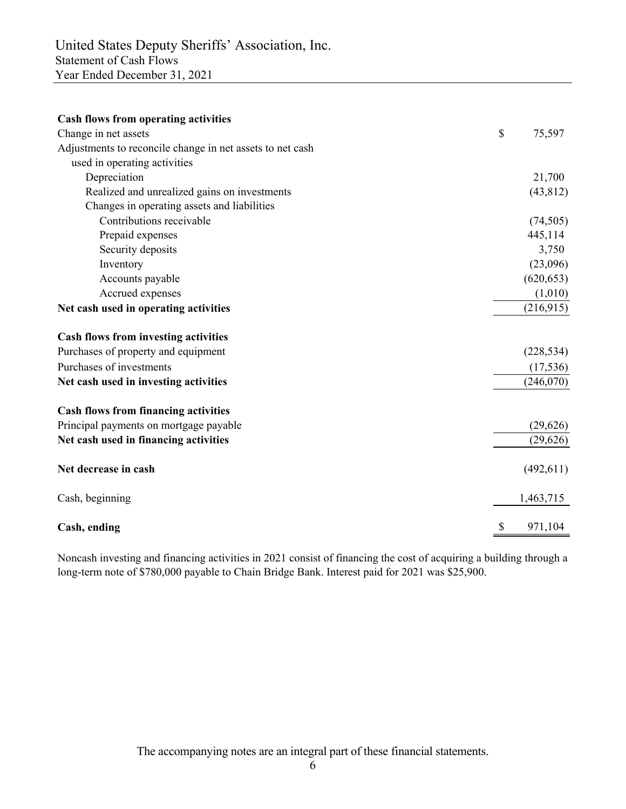| <b>Cash flows from operating activities</b>               |                           |            |
|-----------------------------------------------------------|---------------------------|------------|
| Change in net assets                                      | $\boldsymbol{\mathsf{S}}$ | 75,597     |
| Adjustments to reconcile change in net assets to net cash |                           |            |
| used in operating activities                              |                           |            |
| Depreciation                                              |                           | 21,700     |
| Realized and unrealized gains on investments              |                           | (43, 812)  |
| Changes in operating assets and liabilities               |                           |            |
| Contributions receivable                                  |                           | (74, 505)  |
| Prepaid expenses                                          |                           | 445,114    |
| Security deposits                                         |                           | 3,750      |
| Inventory                                                 |                           | (23,096)   |
| Accounts payable                                          |                           | (620, 653) |
| Accrued expenses                                          |                           | (1,010)    |
| Net cash used in operating activities                     |                           | (216,915)  |
| <b>Cash flows from investing activities</b>               |                           |            |
| Purchases of property and equipment                       |                           | (228, 534) |
| Purchases of investments                                  |                           | (17, 536)  |
| Net cash used in investing activities                     |                           | (246,070)  |
| <b>Cash flows from financing activities</b>               |                           |            |
| Principal payments on mortgage payable                    |                           | (29,626)   |
| Net cash used in financing activities                     |                           | (29,626)   |
| Net decrease in cash                                      |                           | (492, 611) |
| Cash, beginning                                           |                           | 1,463,715  |
| Cash, ending                                              |                           | 971,104    |

Noncash investing and financing activities in 2021 consist of financing the cost of acquiring a building through a long-term note of \$780,000 payable to Chain Bridge Bank. Interest paid for 2021 was \$25,900.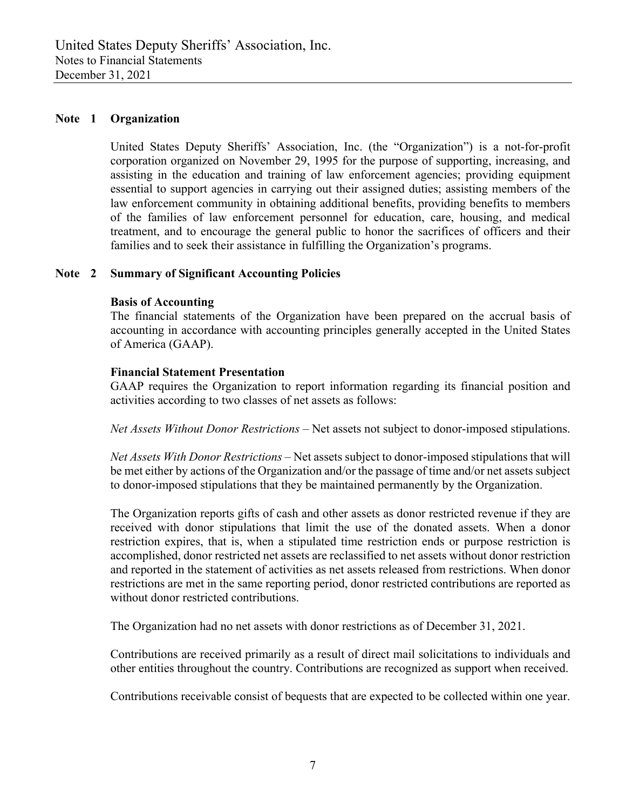### **Note 1 Organization**

United States Deputy Sheriffs' Association, Inc. (the "Organization") is a not-for-profit corporation organized on November 29, 1995 for the purpose of supporting, increasing, and assisting in the education and training of law enforcement agencies; providing equipment essential to support agencies in carrying out their assigned duties; assisting members of the law enforcement community in obtaining additional benefits, providing benefits to members of the families of law enforcement personnel for education, care, housing, and medical treatment, and to encourage the general public to honor the sacrifices of officers and their families and to seek their assistance in fulfilling the Organization's programs.

# **Note 2 Summary of Significant Accounting Policies**

#### **Basis of Accounting**

The financial statements of the Organization have been prepared on the accrual basis of accounting in accordance with accounting principles generally accepted in the United States of America (GAAP).

#### **Financial Statement Presentation**

GAAP requires the Organization to report information regarding its financial position and activities according to two classes of net assets as follows:

*Net Assets Without Donor Restrictions –* Net assets not subject to donor-imposed stipulations.

*Net Assets With Donor Restrictions –* Net assets subject to donor-imposed stipulations that will be met either by actions of the Organization and/or the passage of time and/or net assets subject to donor-imposed stipulations that they be maintained permanently by the Organization.

The Organization reports gifts of cash and other assets as donor restricted revenue if they are received with donor stipulations that limit the use of the donated assets. When a donor restriction expires, that is, when a stipulated time restriction ends or purpose restriction is accomplished, donor restricted net assets are reclassified to net assets without donor restriction and reported in the statement of activities as net assets released from restrictions. When donor restrictions are met in the same reporting period, donor restricted contributions are reported as without donor restricted contributions.

The Organization had no net assets with donor restrictions as of December 31, 2021.

Contributions are received primarily as a result of direct mail solicitations to individuals and other entities throughout the country. Contributions are recognized as support when received.

Contributions receivable consist of bequests that are expected to be collected within one year.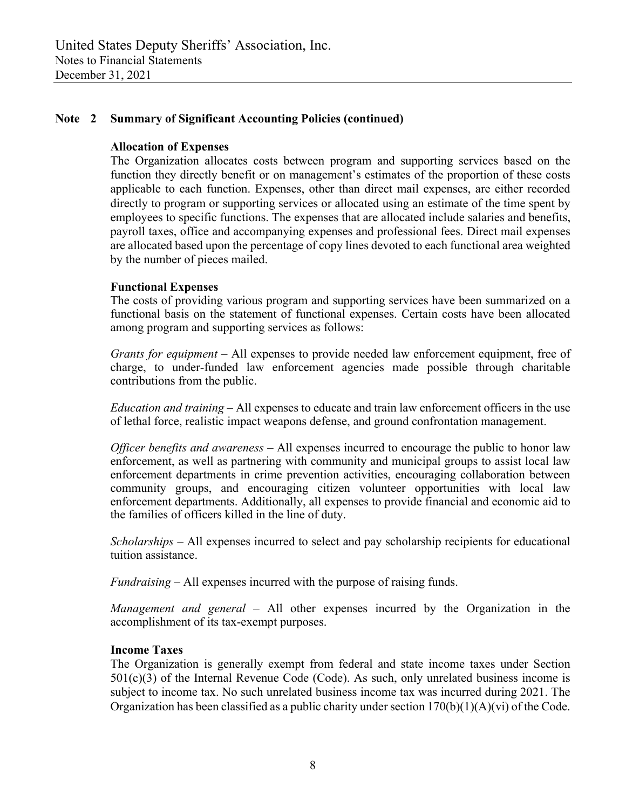# **Note 2 Summary of Significant Accounting Policies (continued)**

### **Allocation of Expenses**

The Organization allocates costs between program and supporting services based on the function they directly benefit or on management's estimates of the proportion of these costs applicable to each function. Expenses, other than direct mail expenses, are either recorded directly to program or supporting services or allocated using an estimate of the time spent by employees to specific functions. The expenses that are allocated include salaries and benefits, payroll taxes, office and accompanying expenses and professional fees. Direct mail expenses are allocated based upon the percentage of copy lines devoted to each functional area weighted by the number of pieces mailed.

#### **Functional Expenses**

The costs of providing various program and supporting services have been summarized on a functional basis on the statement of functional expenses. Certain costs have been allocated among program and supporting services as follows:

*Grants for equipment –* All expenses to provide needed law enforcement equipment, free of charge, to under-funded law enforcement agencies made possible through charitable contributions from the public.

*Education and training –* All expenses to educate and train law enforcement officers in the use of lethal force, realistic impact weapons defense, and ground confrontation management.

*Officer benefits and awareness –* All expenses incurred to encourage the public to honor law enforcement, as well as partnering with community and municipal groups to assist local law enforcement departments in crime prevention activities, encouraging collaboration between community groups, and encouraging citizen volunteer opportunities with local law enforcement departments. Additionally, all expenses to provide financial and economic aid to the families of officers killed in the line of duty.

*Scholarships –* All expenses incurred to select and pay scholarship recipients for educational tuition assistance.

*Fundraising –* All expenses incurred with the purpose of raising funds.

*Management and general –* All other expenses incurred by the Organization in the accomplishment of its tax-exempt purposes.

#### **Income Taxes**

The Organization is generally exempt from federal and state income taxes under Section  $501(c)(3)$  of the Internal Revenue Code (Code). As such, only unrelated business income is subject to income tax. No such unrelated business income tax was incurred during 2021. The Organization has been classified as a public charity under section  $170(b)(1)(A)(vi)$  of the Code.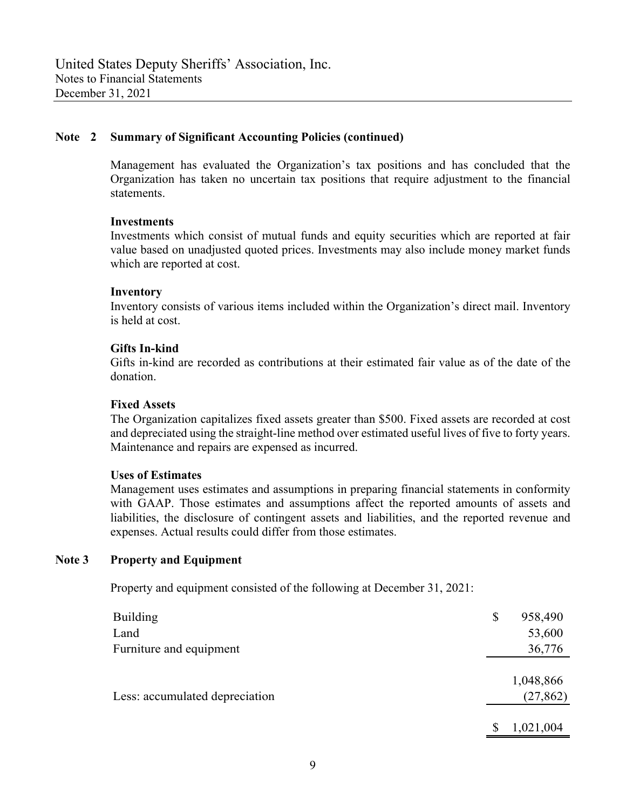# **Note 2 Summary of Significant Accounting Policies (continued)**

Management has evaluated the Organization's tax positions and has concluded that the Organization has taken no uncertain tax positions that require adjustment to the financial statements.

#### **Investments**

Investments which consist of mutual funds and equity securities which are reported at fair value based on unadjusted quoted prices. Investments may also include money market funds which are reported at cost.

#### **Inventory**

Inventory consists of various items included within the Organization's direct mail. Inventory is held at cost.

# **Gifts In-kind**

Gifts in-kind are recorded as contributions at their estimated fair value as of the date of the donation.

### **Fixed Assets**

The Organization capitalizes fixed assets greater than \$500. Fixed assets are recorded at cost and depreciated using the straight-line method over estimated useful lives of five to forty years. Maintenance and repairs are expensed as incurred.

#### **Uses of Estimates**

Management uses estimates and assumptions in preparing financial statements in conformity with GAAP. Those estimates and assumptions affect the reported amounts of assets and liabilities, the disclosure of contingent assets and liabilities, and the reported revenue and expenses. Actual results could differ from those estimates.

# **Note 3 Property and Equipment**

Property and equipment consisted of the following at December 31, 2021:

| <b>Building</b>                | \$<br>958,490          |
|--------------------------------|------------------------|
| Land                           | 53,600                 |
| Furniture and equipment        | 36,776                 |
| Less: accumulated depreciation | 1,048,866<br>(27, 862) |
|                                | 1,021,004              |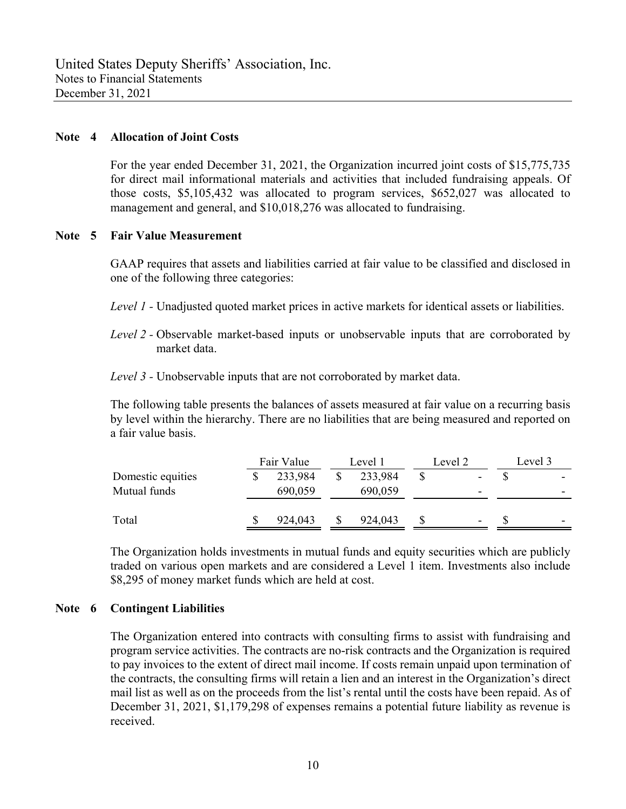### **Note 4 Allocation of Joint Costs**

For the year ended December 31, 2021, the Organization incurred joint costs of \$15,775,735 for direct mail informational materials and activities that included fundraising appeals. Of those costs, \$5,105,432 was allocated to program services, \$652,027 was allocated to management and general, and \$10,018,276 was allocated to fundraising.

#### **Note 5 Fair Value Measurement**

GAAP requires that assets and liabilities carried at fair value to be classified and disclosed in one of the following three categories:

- *Level 1* Unadjusted quoted market prices in active markets for identical assets or liabilities.
- *Level 2* Observable market-based inputs or unobservable inputs that are corroborated by market data.
- *Level 3* Unobservable inputs that are not corroborated by market data.

The following table presents the balances of assets measured at fair value on a recurring basis by level within the hierarchy. There are no liabilities that are being measured and reported on a fair value basis.

|                   | Fair Value | Level 1 | Level 2 |   | Level 3 |                          |
|-------------------|------------|---------|---------|---|---------|--------------------------|
| Domestic equities | 233,984    | 233,984 |         |   |         | $\overline{\phantom{0}}$ |
| Mutual funds      | 690,059    | 690,059 |         | - |         | -                        |
| Total             | 924,043    | 924,043 |         |   |         | $\overline{\phantom{0}}$ |

The Organization holds investments in mutual funds and equity securities which are publicly traded on various open markets and are considered a Level 1 item. Investments also include \$8,295 of money market funds which are held at cost.

#### **Note 6 Contingent Liabilities**

The Organization entered into contracts with consulting firms to assist with fundraising and program service activities. The contracts are no-risk contracts and the Organization is required to pay invoices to the extent of direct mail income. If costs remain unpaid upon termination of the contracts, the consulting firms will retain a lien and an interest in the Organization's direct mail list as well as on the proceeds from the list's rental until the costs have been repaid. As of December 31, 2021, \$1,179,298 of expenses remains a potential future liability as revenue is received.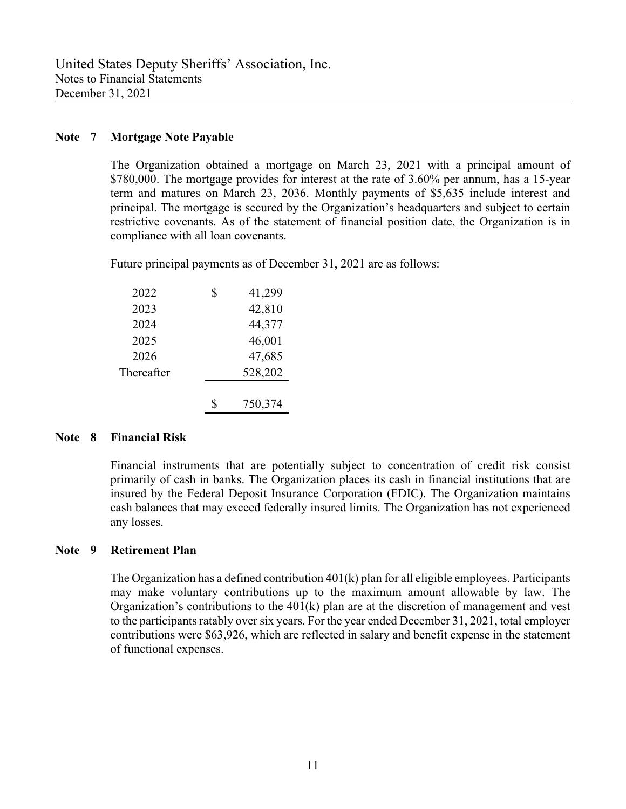# **Note 7 Mortgage Note Payable**

The Organization obtained a mortgage on March 23, 2021 with a principal amount of \$780,000. The mortgage provides for interest at the rate of 3.60% per annum, has a 15-year term and matures on March 23, 2036. Monthly payments of \$5,635 include interest and principal. The mortgage is secured by the Organization's headquarters and subject to certain restrictive covenants. As of the statement of financial position date, the Organization is in compliance with all loan covenants.

Future principal payments as of December 31, 2021 are as follows:

| 2022       | \$<br>41,299 |
|------------|--------------|
| 2023       | 42,810       |
| 2024       | 44,377       |
| 2025       | 46,001       |
| 2026       | 47,685       |
| Thereafter | 528,202      |
|            |              |
|            | 750,374      |

# **Note 8 Financial Risk**

Financial instruments that are potentially subject to concentration of credit risk consist primarily of cash in banks. The Organization places its cash in financial institutions that are insured by the Federal Deposit Insurance Corporation (FDIC). The Organization maintains cash balances that may exceed federally insured limits. The Organization has not experienced any losses.

# **Note 9 Retirement Plan**

The Organization has a defined contribution 401(k) plan for all eligible employees. Participants may make voluntary contributions up to the maximum amount allowable by law. The Organization's contributions to the 401(k) plan are at the discretion of management and vest to the participants ratably over six years. For the year ended December 31, 2021, total employer contributions were \$63,926, which are reflected in salary and benefit expense in the statement of functional expenses.